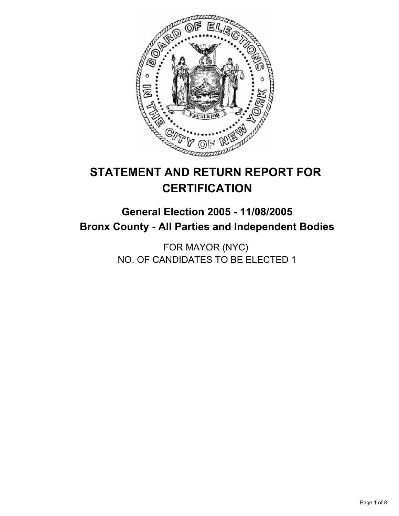

# **STATEMENT AND RETURN REPORT FOR CERTIFICATION**

# **General Election 2005 - 11/08/2005 Bronx County - All Parties and Independent Bodies**

FOR MAYOR (NYC) NO. OF CANDIDATES TO BE ELECTED 1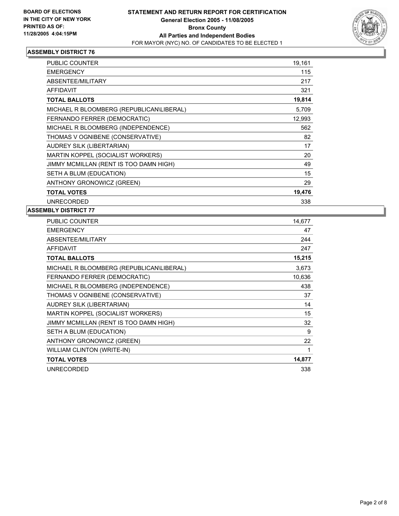

| PUBLIC COUNTER                           | 19,161 |
|------------------------------------------|--------|
| <b>EMERGENCY</b>                         | 115    |
| <b>ABSENTEE/MILITARY</b>                 | 217    |
| <b>AFFIDAVIT</b>                         | 321    |
| <b>TOTAL BALLOTS</b>                     | 19,814 |
| MICHAEL R BLOOMBERG (REPUBLICAN\LIBERAL) | 5,709  |
| FERNANDO FERRER (DEMOCRATIC)             | 12,993 |
| MICHAEL R BLOOMBERG (INDEPENDENCE)       | 562    |
| THOMAS V OGNIBENE (CONSERVATIVE)         | 82     |
| AUDREY SILK (LIBERTARIAN)                | 17     |
| MARTIN KOPPEL (SOCIALIST WORKERS)        | 20     |
| JIMMY MCMILLAN (RENT IS TOO DAMN HIGH)   | 49     |
| SETH A BLUM (EDUCATION)                  | 15     |
| ANTHONY GRONOWICZ (GREEN)                | 29     |
| <b>TOTAL VOTES</b>                       | 19,476 |
| <b>UNRECORDED</b>                        | 338    |

| <b>PUBLIC COUNTER</b>                    | 14,677 |
|------------------------------------------|--------|
| <b>EMERGENCY</b>                         | 47     |
| ABSENTEE/MILITARY                        | 244    |
| <b>AFFIDAVIT</b>                         | 247    |
| <b>TOTAL BALLOTS</b>                     | 15,215 |
| MICHAEL R BLOOMBERG (REPUBLICAN\LIBERAL) | 3,673  |
| FERNANDO FERRER (DEMOCRATIC)             | 10,636 |
| MICHAEL R BLOOMBERG (INDEPENDENCE)       | 438    |
| THOMAS V OGNIBENE (CONSERVATIVE)         | 37     |
| AUDREY SILK (LIBERTARIAN)                | 14     |
| MARTIN KOPPEL (SOCIALIST WORKERS)        | 15     |
| JIMMY MCMILLAN (RENT IS TOO DAMN HIGH)   | 32     |
| SETH A BLUM (EDUCATION)                  | 9      |
| ANTHONY GRONOWICZ (GREEN)                | 22     |
| <b>WILLIAM CLINTON (WRITE-IN)</b>        | 1      |
| <b>TOTAL VOTES</b>                       | 14,877 |
| <b>UNRECORDED</b>                        | 338    |
|                                          |        |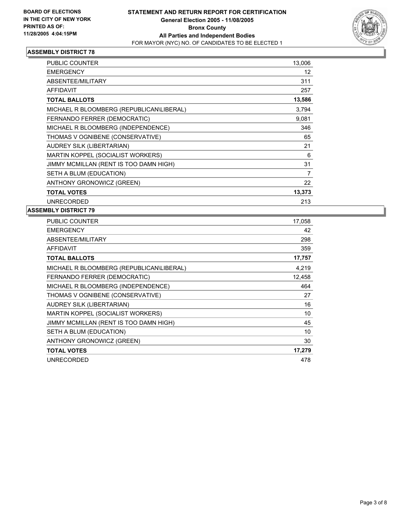

| PUBLIC COUNTER                           | 13,006 |  |
|------------------------------------------|--------|--|
| <b>EMERGENCY</b>                         | 12     |  |
| ABSENTEE/MILITARY                        | 311    |  |
| <b>AFFIDAVIT</b>                         | 257    |  |
| <b>TOTAL BALLOTS</b>                     | 13,586 |  |
| MICHAEL R BLOOMBERG (REPUBLICAN\LIBERAL) | 3.794  |  |
| FERNANDO FERRER (DEMOCRATIC)             | 9,081  |  |
| MICHAEL R BLOOMBERG (INDEPENDENCE)       | 346    |  |
| THOMAS V OGNIBENE (CONSERVATIVE)         | 65     |  |
| AUDREY SILK (LIBERTARIAN)                | 21     |  |
| <b>MARTIN KOPPEL (SOCIALIST WORKERS)</b> | 6      |  |
| JIMMY MCMILLAN (RENT IS TOO DAMN HIGH)   | 31     |  |
| SETH A BLUM (EDUCATION)                  | 7      |  |
| ANTHONY GRONOWICZ (GREEN)                | 22     |  |
| <b>TOTAL VOTES</b>                       | 13,373 |  |
| <b>UNRECORDED</b>                        | 213    |  |

| <b>PUBLIC COUNTER</b>                    | 17,058 |
|------------------------------------------|--------|
| <b>EMERGENCY</b>                         | 42     |
| ABSENTEE/MILITARY                        | 298    |
| <b>AFFIDAVIT</b>                         | 359    |
| <b>TOTAL BALLOTS</b>                     | 17,757 |
| MICHAEL R BLOOMBERG (REPUBLICAN\LIBERAL) | 4,219  |
| FERNANDO FERRER (DEMOCRATIC)             | 12,458 |
| MICHAEL R BLOOMBERG (INDEPENDENCE)       | 464    |
| THOMAS V OGNIBENE (CONSERVATIVE)         | 27     |
| <b>AUDREY SILK (LIBERTARIAN)</b>         | 16     |
| MARTIN KOPPEL (SOCIALIST WORKERS)        | 10     |
| JIMMY MCMILLAN (RENT IS TOO DAMN HIGH)   | 45     |
| SETH A BLUM (EDUCATION)                  | 10     |
| ANTHONY GRONOWICZ (GREEN)                | 30     |
| <b>TOTAL VOTES</b>                       | 17,279 |
| <b>UNRECORDED</b>                        | 478    |
|                                          |        |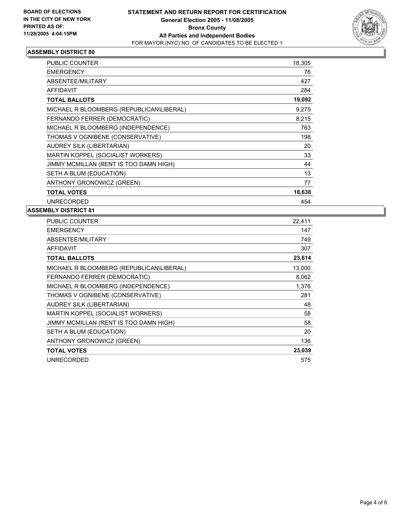

| <b>PUBLIC COUNTER</b>                    | 18,305 |
|------------------------------------------|--------|
| <b>EMERGENCY</b>                         | 76     |
| ABSENTEE/MILITARY                        | 427    |
| <b>AFFIDAVIT</b>                         | 284    |
| <b>TOTAL BALLOTS</b>                     | 19,092 |
| MICHAEL R BLOOMBERG (REPUBLICAN\LIBERAL) | 9,275  |
| FERNANDO FERRER (DEMOCRATIC)             | 8,215  |
| MICHAEL R BLOOMBERG (INDEPENDENCE)       | 763    |
| THOMAS V OGNIBENE (CONSERVATIVE)         | 198    |
| AUDREY SILK (LIBERTARIAN)                | 20     |
| MARTIN KOPPEL (SOCIALIST WORKERS)        | 33     |
| JIMMY MCMILLAN (RENT IS TOO DAMN HIGH)   | 44     |
| SETH A BLUM (EDUCATION)                  | 13     |
| ANTHONY GRONOWICZ (GREEN)                | 77     |
| <b>TOTAL VOTES</b>                       | 18,638 |
| <b>UNRECORDED</b>                        | 454    |

| <b>PUBLIC COUNTER</b>                    | 22,411 |
|------------------------------------------|--------|
| <b>EMERGENCY</b>                         | 147    |
| ABSENTEE/MILITARY                        | 749    |
| <b>AFFIDAVIT</b>                         | 307    |
| <b>TOTAL BALLOTS</b>                     | 23,614 |
| MICHAEL R BLOOMBERG (REPUBLICAN\LIBERAL) | 13,000 |
| FERNANDO FERRER (DEMOCRATIC)             | 8,062  |
| MICHAEL R BLOOMBERG (INDEPENDENCE)       | 1,376  |
| THOMAS V OGNIBENE (CONSERVATIVE)         | 281    |
| <b>AUDREY SILK (LIBERTARIAN)</b>         | 48     |
| MARTIN KOPPEL (SOCIALIST WORKERS)        | 58     |
| JIMMY MCMILLAN (RENT IS TOO DAMN HIGH)   | 58     |
| SETH A BLUM (EDUCATION)                  | 20     |
| ANTHONY GRONOWICZ (GREEN)                | 136    |
| <b>TOTAL VOTES</b>                       | 23,039 |
| <b>UNRECORDED</b>                        | 575    |
|                                          |        |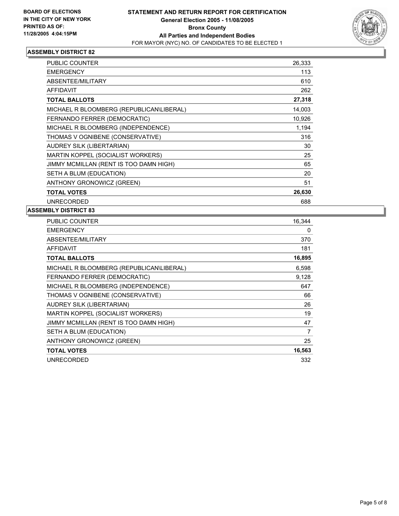

| <b>PUBLIC COUNTER</b>                    | 26,333 |
|------------------------------------------|--------|
| <b>EMERGENCY</b>                         | 113    |
| ABSENTEE/MILITARY                        | 610    |
| <b>AFFIDAVIT</b>                         | 262    |
| <b>TOTAL BALLOTS</b>                     | 27,318 |
| MICHAEL R BLOOMBERG (REPUBLICAN\LIBERAL) | 14,003 |
| FERNANDO FERRER (DEMOCRATIC)             | 10,926 |
| MICHAEL R BLOOMBERG (INDEPENDENCE)       | 1,194  |
| THOMAS V OGNIBENE (CONSERVATIVE)         | 316    |
| AUDREY SILK (LIBERTARIAN)                | 30     |
| MARTIN KOPPEL (SOCIALIST WORKERS)        | 25     |
| JIMMY MCMILLAN (RENT IS TOO DAMN HIGH)   | 65     |
| SETH A BLUM (EDUCATION)                  | 20     |
| ANTHONY GRONOWICZ (GREEN)                | 51     |
| <b>TOTAL VOTES</b>                       | 26,630 |
| <b>UNRECORDED</b>                        | 688    |

| <b>PUBLIC COUNTER</b>                    | 16,344 |
|------------------------------------------|--------|
| <b>EMERGENCY</b>                         | 0      |
| ABSENTEE/MILITARY                        | 370    |
| <b>AFFIDAVIT</b>                         | 181    |
| <b>TOTAL BALLOTS</b>                     | 16,895 |
| MICHAEL R BLOOMBERG (REPUBLICAN\LIBERAL) | 6,598  |
| FERNANDO FERRER (DEMOCRATIC)             | 9,128  |
| MICHAEL R BLOOMBERG (INDEPENDENCE)       | 647    |
| THOMAS V OGNIBENE (CONSERVATIVE)         | 66     |
| <b>AUDREY SILK (LIBERTARIAN)</b>         | 26     |
| MARTIN KOPPEL (SOCIALIST WORKERS)        | 19     |
| JIMMY MCMILLAN (RENT IS TOO DAMN HIGH)   | 47     |
| SETH A BLUM (EDUCATION)                  | 7      |
| ANTHONY GRONOWICZ (GREEN)                | 25     |
| <b>TOTAL VOTES</b>                       | 16,563 |
| <b>UNRECORDED</b>                        | 332    |
|                                          |        |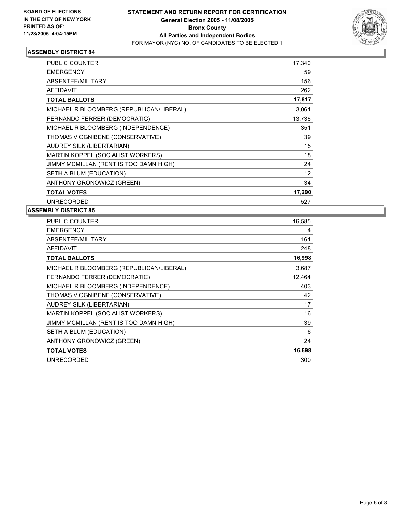

| PUBLIC COUNTER                           | 17,340 |  |
|------------------------------------------|--------|--|
| <b>EMERGENCY</b>                         | 59     |  |
| <b>ABSENTEE/MILITARY</b>                 | 156    |  |
| <b>AFFIDAVIT</b>                         | 262    |  |
| <b>TOTAL BALLOTS</b>                     | 17,817 |  |
| MICHAEL R BLOOMBERG (REPUBLICAN\LIBERAL) | 3,061  |  |
| FERNANDO FERRER (DEMOCRATIC)             | 13,736 |  |
| MICHAEL R BLOOMBERG (INDEPENDENCE)       | 351    |  |
| THOMAS V OGNIBENE (CONSERVATIVE)         | 39     |  |
| AUDREY SILK (LIBERTARIAN)                | 15     |  |
| MARTIN KOPPEL (SOCIALIST WORKERS)        | 18     |  |
| JIMMY MCMILLAN (RENT IS TOO DAMN HIGH)   | 24     |  |
| SETH A BLUM (EDUCATION)                  | 12     |  |
| ANTHONY GRONOWICZ (GREEN)                | 34     |  |
| <b>TOTAL VOTES</b>                       | 17,290 |  |
| <b>UNRECORDED</b>                        | 527    |  |

| <b>PUBLIC COUNTER</b>                    | 16,585 |
|------------------------------------------|--------|
| <b>EMERGENCY</b>                         | 4      |
| ABSENTEE/MILITARY                        | 161    |
| <b>AFFIDAVIT</b>                         | 248    |
| <b>TOTAL BALLOTS</b>                     | 16,998 |
| MICHAEL R BLOOMBERG (REPUBLICAN\LIBERAL) | 3,687  |
| FERNANDO FERRER (DEMOCRATIC)             | 12,464 |
| MICHAEL R BLOOMBERG (INDEPENDENCE)       | 403    |
| THOMAS V OGNIBENE (CONSERVATIVE)         | 42     |
| AUDREY SILK (LIBERTARIAN)                | 17     |
| MARTIN KOPPEL (SOCIALIST WORKERS)        | 16     |
| JIMMY MCMILLAN (RENT IS TOO DAMN HIGH)   | 39     |
| SETH A BLUM (EDUCATION)                  | 6      |
| ANTHONY GRONOWICZ (GREEN)                | 24     |
| <b>TOTAL VOTES</b>                       | 16,698 |
| <b>UNRECORDED</b>                        | 300    |
|                                          |        |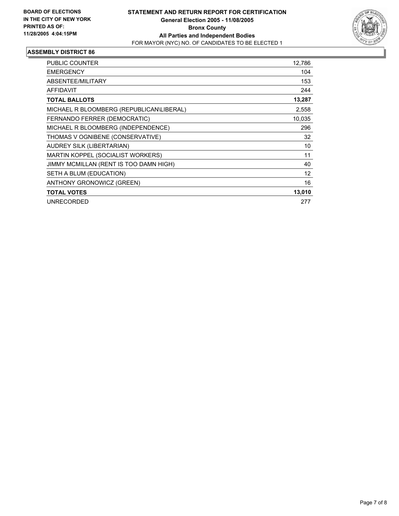

| <b>PUBLIC COUNTER</b>                    | 12,786 |
|------------------------------------------|--------|
| <b>EMERGENCY</b>                         | 104    |
| ABSENTEE/MILITARY                        | 153    |
| AFFIDAVIT                                | 244    |
| <b>TOTAL BALLOTS</b>                     | 13,287 |
| MICHAEL R BLOOMBERG (REPUBLICAN\LIBERAL) | 2,558  |
| FERNANDO FERRER (DEMOCRATIC)             | 10,035 |
| MICHAEL R BLOOMBERG (INDEPENDENCE)       | 296    |
| THOMAS V OGNIBENE (CONSERVATIVE)         | 32     |
| AUDREY SILK (LIBERTARIAN)                | 10     |
| MARTIN KOPPEL (SOCIALIST WORKERS)        | 11     |
| JIMMY MCMILLAN (RENT IS TOO DAMN HIGH)   | 40     |
| SETH A BLUM (EDUCATION)                  | 12     |
| ANTHONY GRONOWICZ (GREEN)                | 16     |
| <b>TOTAL VOTES</b>                       | 13,010 |
| <b>UNRECORDED</b>                        | 277    |